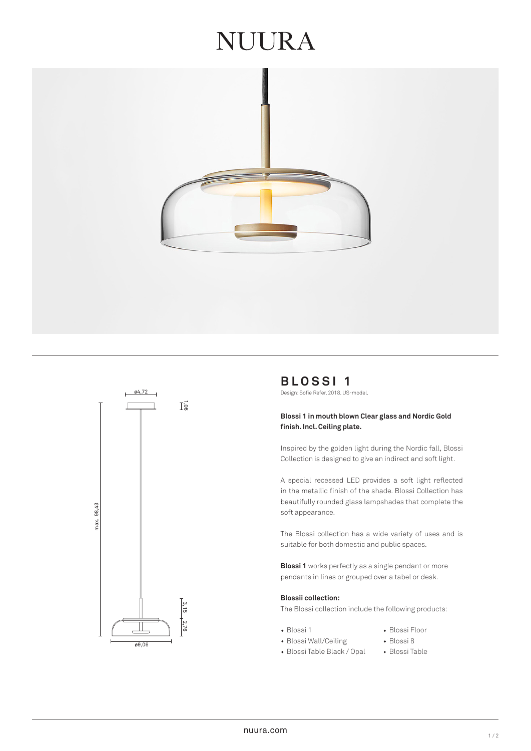## **JUURA**





**BLOSSI 1** ø4,72 Design: Sofie Refer, 2018. US-model.

#### **Blossi 1 in mouth blown Clear glass and Nordic Gold finish. Incl. Ceiling plate.**

Inspired by the golden light during the Nordic fall, Blossi Collection is designed to give an indirect and soft light.

A special recessed LED provides a soft light reflected in the metallic finish of the shade. Blossi Collection has beautifully rounded glass lampshades that complete the soft appearance.

The Blossi collection has a wide variety of uses and is suitable for both domestic and public spaces.

**Blossi 1** works perfectly as a single pendant or more pendants in lines or grouped over a tabel or desk.

#### **Blossii collection:**

The Blossi collection include the following products:

- 
- Blossi 1 Blossi Floor
- Blossi Wall/Ceiling Blossi 8
- Blossi Table Black / Opal Blossi Table
-